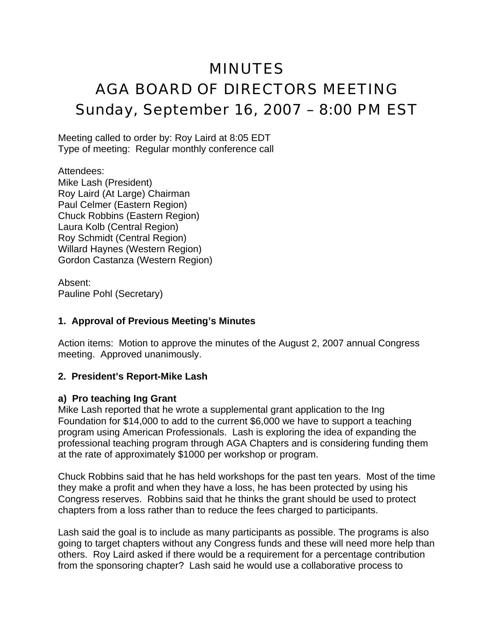# MINUTES AGA BOARD OF DIRECTORS MEETING Sunday, September 16, 2007 – 8:00 PM EST

Meeting called to order by: Roy Laird at 8:05 EDT Type of meeting: Regular monthly conference call

Attendees: Mike Lash (President) Roy Laird (At Large) Chairman Paul Celmer (Eastern Region) Chuck Robbins (Eastern Region) Laura Kolb (Central Region) Roy Schmidt (Central Region) Willard Haynes (Western Region) Gordon Castanza (Western Region)

Absent: Pauline Pohl (Secretary)

### **1. Approval of Previous Meeting's Minutes**

Action items: Motion to approve the minutes of the August 2, 2007 annual Congress meeting. Approved unanimously.

#### **2. President's Report-Mike Lash**

#### **a) Pro teaching Ing Grant**

Mike Lash reported that he wrote a supplemental grant application to the Ing Foundation for \$14,000 to add to the current \$6,000 we have to support a teaching program using American Professionals. Lash is exploring the idea of expanding the professional teaching program through AGA Chapters and is considering funding them at the rate of approximately \$1000 per workshop or program.

Chuck Robbins said that he has held workshops for the past ten years. Most of the time they make a profit and when they have a loss, he has been protected by using his Congress reserves. Robbins said that he thinks the grant should be used to protect chapters from a loss rather than to reduce the fees charged to participants.

Lash said the goal is to include as many participants as possible. The programs is also going to target chapters without any Congress funds and these will need more help than others. Roy Laird asked if there would be a requirement for a percentage contribution from the sponsoring chapter? Lash said he would use a collaborative process to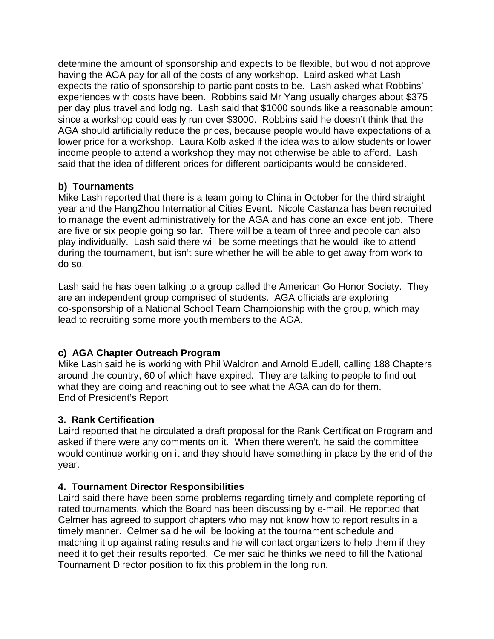determine the amount of sponsorship and expects to be flexible, but would not approve having the AGA pay for all of the costs of any workshop. Laird asked what Lash expects the ratio of sponsorship to participant costs to be. Lash asked what Robbins' experiences with costs have been. Robbins said Mr Yang usually charges about \$375 per day plus travel and lodging. Lash said that \$1000 sounds like a reasonable amount since a workshop could easily run over \$3000. Robbins said he doesn't think that the AGA should artificially reduce the prices, because people would have expectations of a lower price for a workshop. Laura Kolb asked if the idea was to allow students or lower income people to attend a workshop they may not otherwise be able to afford. Lash said that the idea of different prices for different participants would be considered.

## **b) Tournaments**

Mike Lash reported that there is a team going to China in October for the third straight year and the HangZhou International Cities Event. Nicole Castanza has been recruited to manage the event administratively for the AGA and has done an excellent job. There are five or six people going so far. There will be a team of three and people can also play individually. Lash said there will be some meetings that he would like to attend during the tournament, but isn't sure whether he will be able to get away from work to do so.

Lash said he has been talking to a group called the American Go Honor Society. They are an independent group comprised of students. AGA officials are exploring co-sponsorship of a National School Team Championship with the group, which may lead to recruiting some more youth members to the AGA.

## **c) AGA Chapter Outreach Program**

Mike Lash said he is working with Phil Waldron and Arnold Eudell, calling 188 Chapters around the country, 60 of which have expired. They are talking to people to find out what they are doing and reaching out to see what the AGA can do for them. End of President's Report

## **3. Rank Certification**

Laird reported that he circulated a draft proposal for the Rank Certification Program and asked if there were any comments on it. When there weren't, he said the committee would continue working on it and they should have something in place by the end of the year.

## **4. Tournament Director Responsibilities**

Laird said there have been some problems regarding timely and complete reporting of rated tournaments, which the Board has been discussing by e-mail. He reported that Celmer has agreed to support chapters who may not know how to report results in a timely manner. Celmer said he will be looking at the tournament schedule and matching it up against rating results and he will contact organizers to help them if they need it to get their results reported. Celmer said he thinks we need to fill the National Tournament Director position to fix this problem in the long run.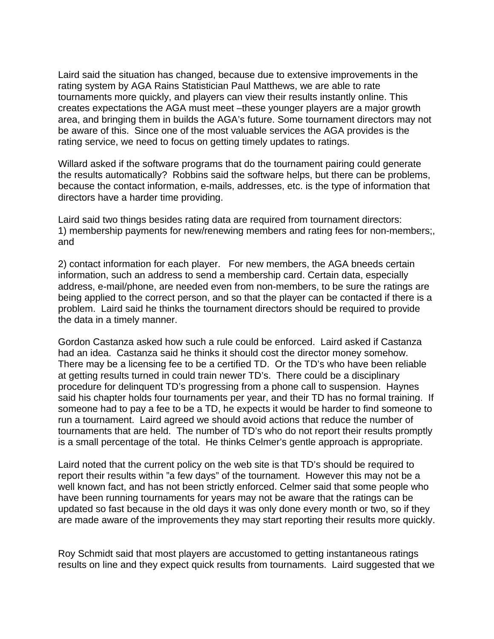Laird said the situation has changed, because due to extensive improvements in the rating system by AGA Rains Statistician Paul Matthews, we are able to rate tournaments more quickly, and players can view their results instantly online. This creates expectations the AGA must meet –these younger players are a major growth area, and bringing them in builds the AGA's future. Some tournament directors may not be aware of this. Since one of the most valuable services the AGA provides is the rating service, we need to focus on getting timely updates to ratings.

Willard asked if the software programs that do the tournament pairing could generate the results automatically? Robbins said the software helps, but there can be problems, because the contact information, e-mails, addresses, etc. is the type of information that directors have a harder time providing.

Laird said two things besides rating data are required from tournament directors: 1) membership payments for new/renewing members and rating fees for non-members;, and

2) contact information for each player. For new members, the AGA bneeds certain information, such an address to send a membership card. Certain data, especially address, e-mail/phone, are needed even from non-members, to be sure the ratings are being applied to the correct person, and so that the player can be contacted if there is a problem. Laird said he thinks the tournament directors should be required to provide the data in a timely manner.

Gordon Castanza asked how such a rule could be enforced. Laird asked if Castanza had an idea. Castanza said he thinks it should cost the director money somehow. There may be a licensing fee to be a certified TD. Or the TD's who have been reliable at getting results turned in could train newer TD's. There could be a disciplinary procedure for delinquent TD's progressing from a phone call to suspension. Haynes said his chapter holds four tournaments per year, and their TD has no formal training. If someone had to pay a fee to be a TD, he expects it would be harder to find someone to run a tournament. Laird agreed we should avoid actions that reduce the number of tournaments that are held. The number of TD's who do not report their results promptly is a small percentage of the total. He thinks Celmer's gentle approach is appropriate.

Laird noted that the current policy on the web site is that TD's should be required to report their results within "a few days" of the tournament. However this may not be a well known fact, and has not been strictly enforced. Celmer said that some people who have been running tournaments for years may not be aware that the ratings can be updated so fast because in the old days it was only done every month or two, so if they are made aware of the improvements they may start reporting their results more quickly.

Roy Schmidt said that most players are accustomed to getting instantaneous ratings results on line and they expect quick results from tournaments. Laird suggested that we